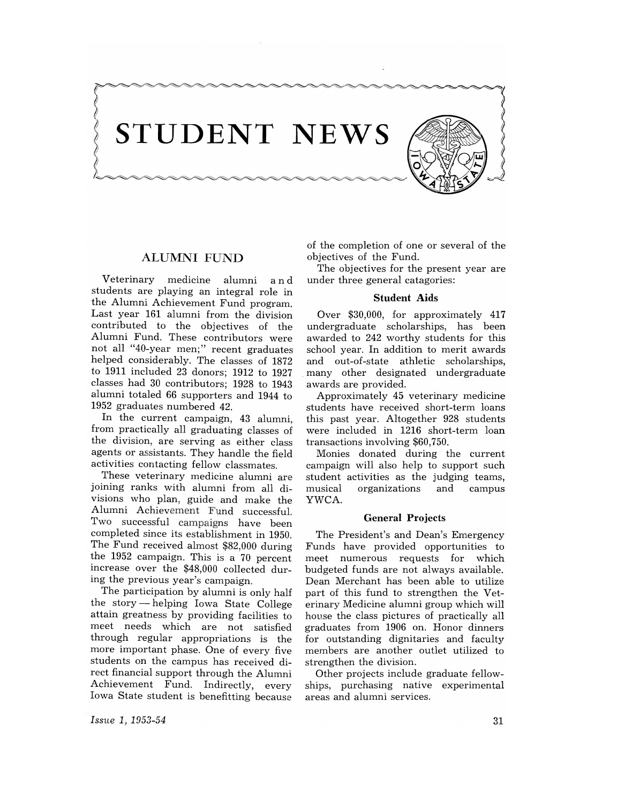

# ALUMNI FUND

Veterinary medicine alumni and students are playing an integral role in the Alumni Achievement Fund program. Last year 161 alumni from the division contributed to the objectives of the Alumni Fund. These contributors were not all "40-year men;" recent graduates helped considerably. The classes of 1872 to 1911 included 23 donors; 1912 to 1927 classes had 30 contributors; 1928 to 1943 alumni totaled 66 supporters and 1944 to 1952 graduates numbered 42.

In the current campaign, 43 alumni, from practically all graduating classes of the division, are serving as either class agents or assistants. They handle the field activities contacting fellow classmates.

These veterinary medicine alumni are joining ranks with alumni from all divisions who plan, guide and make the Alumni Achievement Fund successful. Two successful campaigns have been completed since its establishment in 1950. The Fund received almost \$82,000 during the 1952 campaign. This is a 70 percent increase over the \$48,000 collected during the previous year's campaign.

The participation by alumni is only half the story  $-\text{helping}$  Iowa State College attain greatness by providing facilities to meet needs which are not satisfied through regular appropriations is the more important phase. One of every five students on the campus has received direct financial support through the Alumni Achievement Fund. Indirectly, every Iowa State student is benefitting because of the completion of one or several of the objectives of the Fund.

The objectives for the present year are under three general catagories:

### Student Aids

Over \$30,000, for approximately 417 undergraduate scholarships, has been awarded to 242 worthy students for this school year. In addition to merit awards and out-of-state athletic scholarships, many other designated undergraduate awards are provided.

Approximately 45 veterinary medicine students have received short-term loans this past year. Altogether 928 students were included in 1216 short-term loan transactions involving \$60,750.

Monies donated during the current campaign will also help to support such student activities as the judging teams, organizations and campus YWCA.

### General Projects

The President's and Dean's Emergency Funds have provided opportunities to meet numerous requests for which budgeted funds are not always available. Dean Merchant has been able to utilize part of this fund to strengthen the Veterinary Medicine alumni group which will house the class pictures of practically all graduates from 1906 on. Honor dinners for outstanding dignitaries and faculty members are another outlet utilized to strengthen the division.

Other projects include graduate fellowships, purchasing native experimental areas and alumni services.

*Issue* 1, 1953-54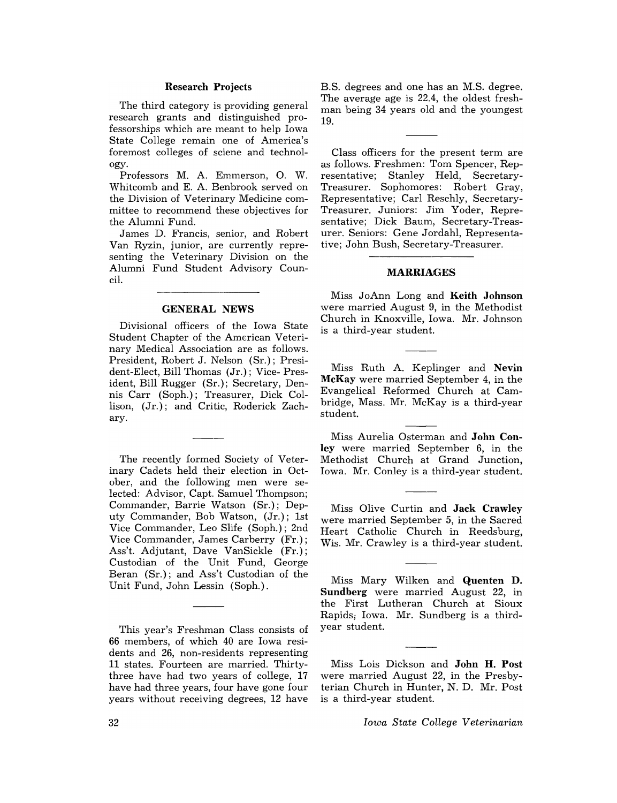### Research Projects

The third category is providing general research grants and distinguished professorships which are meant to help Iowa State College remain one of America's foremost colleges of sciene and technology.

Professors M. A. Emmerson, O. W. Whitcomb and E. A. Benbrook served on the Division of Veterinary Medicine committee to recommend these objectives for the Alumni Fund.

James D. Francis, senior, and Robert Van Ryzin, junior, are currently representing the Veterinary Division on the Alumni Fund Student Advisory Council.

#### GENERAL NEWS

Divisional officers of the Iowa State Student Chapter of the American Veterinary Medical Association are as follows. President, Robert J. Nelson (Sr.); President-Elect, Bill Thomas (Jr.); Vice- President, Bill Rugger (Sr.); Secretary, Dennis Carr (Soph.); Treasurer, Dick Collison, (Jr.); and Critic, Roderick Zachary.

The recently formed Society of Veterinary Cadets held their election in October, and the following men were selected: Advisor, Capt. Samuel Thompson; Commander, Barrie Watson (Sr.); Deputy Commander, Bob Watson, (Jr.); 1st Vice Commander, Leo Slife (Soph.); 2nd Vice Commander, James Carberry (Fr.); Ass't. Adjutant, Dave VanSickle (Fr.); Custodian of the Unit Fund, George Beran (Sr.); and Ass't Custodian of the Unit Fund, John Lessin (Soph.).

This year's Freshman Class consists of 66 members, of which 40 are Iowa residents and 26, non-residents representing 11 states. Fourteen are married. Thirtythree have had two years of college, 17 have had three years, four have gone four years without receiving degrees, 12 have B.S. degrees and one has an M.S. degree. The average age is 22.4, the oldest freshman being 34 years old and the youngest 19.

Class officers for the present term are as follows. Freshmen: Tom Spencer, Representative; Stanley Held, Secretary-Treasurer. Sophomores: Robert Gray, Representative; Carl Reschly, Secretary-Treasurer. Juniors: Jim Yoder, Representative; Dick Baum, Secretary-Treasurer. Seniors: Gene Jordahl, Representative; John Bush, Secretary-Treasurer.

## MARRIAGES

Miss JoAnn Long and Keith Johnson were married August 9, in the Methodist Church in Knoxville, Iowa. Mr. Johnson is a third-year student.

Miss Ruth A. Keplinger and Nevin McKay were married September 4, in the Evangelical Reformed Church at Cambridge, Mass. Mr. McKay is a third-year student.

Miss Aurelia Osterman and John Conley were married September 6, in the Methodist Church at Grand Junction, Iowa. Mr. Conley is a third-year student.

Miss Olive Curtin and Jack Crawley were married September 5, in the Sacred Heart Catholic Church in Reedsburg, Wis. Mr. Crawley is a third-year student.

Miss Mary Wilken and Quenten D. Sundberg were married August 22, in the First Lutheran Church at Sioux Rapids; Iowa. Mr. Sundberg is a thirdyear student.

Miss Lois Dickson and John H. Post were married August 22, in the Presbyterian Church in Hunter, N. D. Mr. Post is a third-year student.

*Iowa State College Veterinarian*